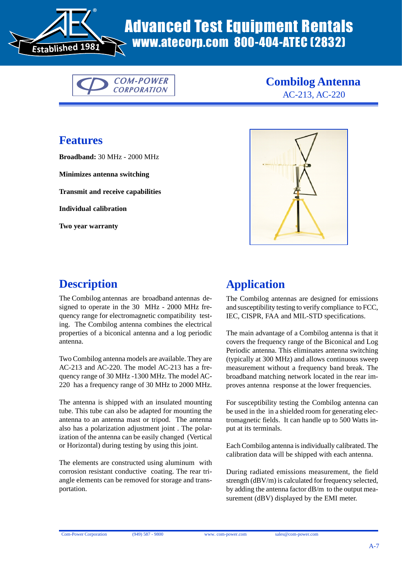

# www.atecorp.com 800-404-ATEC (2832)



**Combilog Antenna** AC-213, AC-220

#### **Features**

**Broadband:** 30 MHz - 2000 MHz

**Minimizes antenna switching**

**Transmit and receive capabilities**

**Individual calibration**

**Two year warranty**



## **Description**

The Combilog antennas are broadband antennas designed to operate in the 30 MHz - 2000 MHz frequency range for electromagnetic compatibility testing. The Combilog antenna combines the electrical properties of a biconical antenna and a log periodic antenna.

Two Combilog antenna models are available. They are AC-213 and AC-220. The model AC-213 has a frequency range of 30 MHz -1300 MHz. The model AC-220 has a frequency range of 30 MHz to 2000 MHz.

The antenna is shipped with an insulated mounting tube. This tube can also be adapted for mounting the antenna to an antenna mast or tripod. The antenna also has a polarization adjustment joint . The polarization of the antenna can be easily changed (Vertical or Horizontal) during testing by using this joint.

The elements are constructed using aluminum with corrosion resistant conductive coating. The rear triangle elements can be removed for storage and transportation.

### **Application**

The Combilog antennas are designed for emissions and susceptibility testing to verify compliance to FCC, IEC, CISPR, FAA and MIL-STD specifications.

The main advantage of a Combilog antenna is that it covers the frequency range of the Biconical and Log Periodic antenna. This eliminates antenna switching (typically at 300 MHz) and allows continuous sweep measurement without a frequency band break. The broadband matching network located in the rear improves antenna response at the lower frequencies.

For susceptibility testing the Combilog antenna can be used in the in a shielded room for generating electromagnetic fields. It can handle up to 500 Watts input at its terminals.

Each Combilog antenna is individually calibrated. The calibration data will be shipped with each antenna.

During radiated emissions measurement, the field strength (dBV/m) is calculated for frequency selected, by adding the antenna factor dB/m to the output measurement (dBV) displayed by the EMI meter.